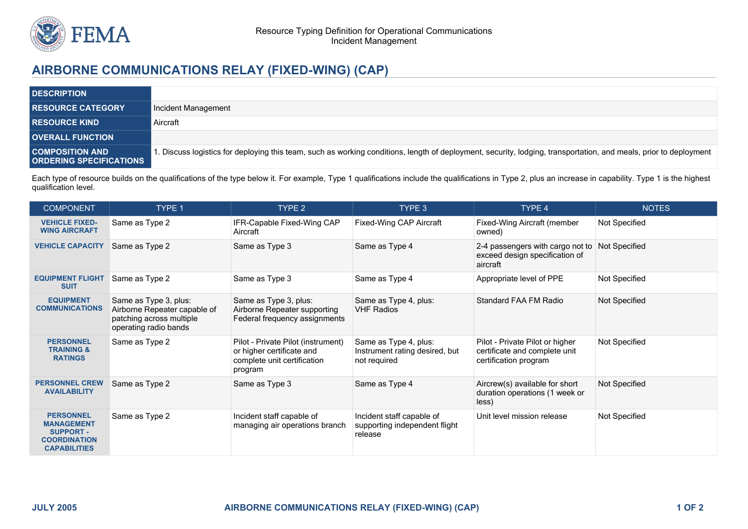

## **AIRBORNE COMMUNICATIONS RELAY (FIXED-WING) (CAP)**

| <b>DESCRIPTION</b>                                       |                                                                                                                                                                  |
|----------------------------------------------------------|------------------------------------------------------------------------------------------------------------------------------------------------------------------|
| <b>RESOURCE CATEGORY</b>                                 | Incident Management                                                                                                                                              |
| <b>RESOURCE KIND</b>                                     | Aircraft                                                                                                                                                         |
| <b>OVERALL FUNCTION</b>                                  |                                                                                                                                                                  |
| <b>COMPOSITION AND</b><br><b>ORDERING SPECIFICATIONS</b> | . Discuss logistics for deploying this team, such as working conditions, length of deployment, security, lodging, transportation, and meals, prior to deployment |

Each type of resource builds on the qualifications of the type below it. For example, Type 1 qualifications include the qualifications in Type 2, plus an increase in capability. Type 1 is the highest qualification level.

| <b>COMPONENT</b>                                                                                        | TYPE 1                                                                                                     | TYPE <sub>2</sub>                                                                                         | TYPE 3                                                                  | TYPE 4                                                                                    | <b>NOTES</b>  |
|---------------------------------------------------------------------------------------------------------|------------------------------------------------------------------------------------------------------------|-----------------------------------------------------------------------------------------------------------|-------------------------------------------------------------------------|-------------------------------------------------------------------------------------------|---------------|
| <b>VEHICLE FIXED-</b><br><b>WING AIRCRAFT</b>                                                           | Same as Type 2                                                                                             | IFR-Capable Fixed-Wing CAP<br>Aircraft                                                                    | Fixed-Wing CAP Aircraft                                                 | Fixed-Wing Aircraft (member<br>owned)                                                     | Not Specified |
| <b>VEHICLE CAPACITY</b>                                                                                 | Same as Type 2                                                                                             | Same as Type 3                                                                                            | Same as Type 4                                                          | 2-4 passengers with cargo not to<br>exceed design specification of<br>aircraft            | Not Specified |
| <b>EQUIPMENT FLIGHT</b><br><b>SUIT</b>                                                                  | Same as Type 2                                                                                             | Same as Type 3                                                                                            | Same as Type 4                                                          | Appropriate level of PPE                                                                  | Not Specified |
| <b>EQUIPMENT</b><br><b>COMMUNICATIONS</b>                                                               | Same as Type 3, plus:<br>Airborne Repeater capable of<br>patching across multiple<br>operating radio bands | Same as Type 3, plus:<br>Airborne Repeater supporting<br>Federal frequency assignments                    | Same as Type 4, plus:<br><b>VHF Radios</b>                              | Standard FAA FM Radio                                                                     | Not Specified |
| <b>PERSONNEL</b><br><b>TRAINING &amp;</b><br><b>RATINGS</b>                                             | Same as Type 2                                                                                             | Pilot - Private Pilot (instrument)<br>or higher certificate and<br>complete unit certification<br>program | Same as Type 4, plus:<br>Instrument rating desired, but<br>not required | Pilot - Private Pilot or higher<br>certificate and complete unit<br>certification program | Not Specified |
| <b>PERSONNEL CREW</b><br><b>AVAILABILITY</b>                                                            | Same as Type 2                                                                                             | Same as Type 3                                                                                            | Same as Type 4                                                          | Aircrew(s) available for short<br>duration operations (1 week or<br>less)                 | Not Specified |
| <b>PERSONNEL</b><br><b>MANAGEMENT</b><br><b>SUPPORT -</b><br><b>COORDINATION</b><br><b>CAPABILITIES</b> | Same as Type 2                                                                                             | Incident staff capable of<br>managing air operations branch                                               | Incident staff capable of<br>supporting independent flight<br>release   | Unit level mission release                                                                | Not Specified |